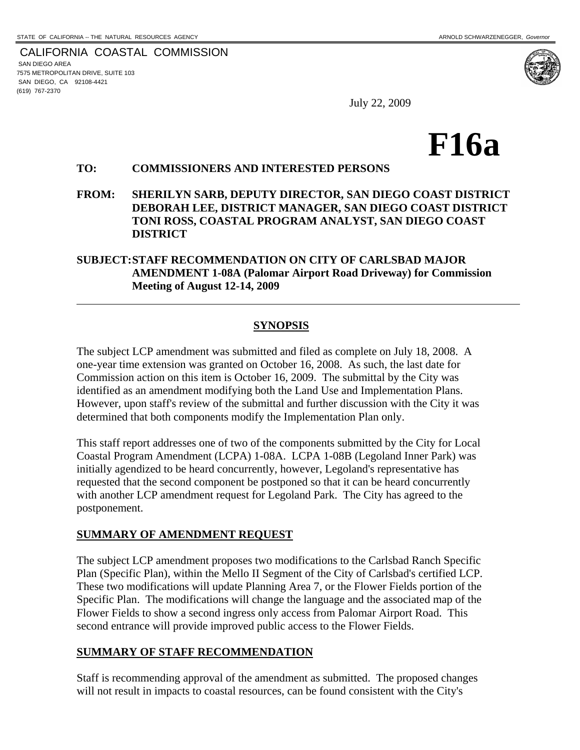CALIFORNIA COASTAL COMMISSION SAN DIEGO AREA 7575 METROPOLITAN DRIVE, SUITE 103 SAN DIEGO, CA 92108-4421 (619) 767-2370

 $\overline{a}$ 

July 22, 2009



#### **TO: COMMISSIONERS AND INTERESTED PERSONS**

**FROM: SHERILYN SARB, DEPUTY DIRECTOR, SAN DIEGO COAST DISTRICT DEBORAH LEE, DISTRICT MANAGER, SAN DIEGO COAST DISTRICT TONI ROSS, COASTAL PROGRAM ANALYST, SAN DIEGO COAST DISTRICT**

## **SUBJECT:STAFF RECOMMENDATION ON CITY OF CARLSBAD MAJOR AMENDMENT 1-08A (Palomar Airport Road Driveway) for Commission Meeting of August 12-14, 2009**

### **SYNOPSIS**

The subject LCP amendment was submitted and filed as complete on July 18, 2008. A one-year time extension was granted on October 16, 2008. As such, the last date for Commission action on this item is October 16, 2009. The submittal by the City was identified as an amendment modifying both the Land Use and Implementation Plans. However, upon staff's review of the submittal and further discussion with the City it was determined that both components modify the Implementation Plan only.

This staff report addresses one of two of the components submitted by the City for Local Coastal Program Amendment (LCPA) 1-08A. LCPA 1-08B (Legoland Inner Park) was initially agendized to be heard concurrently, however, Legoland's representative has requested that the second component be postponed so that it can be heard concurrently with another LCP amendment request for Legoland Park. The City has agreed to the postponement.

### **SUMMARY OF AMENDMENT REQUEST**

The subject LCP amendment proposes two modifications to the Carlsbad Ranch Specific Plan (Specific Plan), within the Mello II Segment of the City of Carlsbad's certified LCP. These two modifications will update Planning Area 7, or the Flower Fields portion of the Specific Plan. The modifications will change the language and the associated map of the Flower Fields to show a second ingress only access from Palomar Airport Road. This second entrance will provide improved public access to the Flower Fields.

## **SUMMARY OF STAFF RECOMMENDATION**

Staff is recommending approval of the amendment as submitted. The proposed changes will not result in impacts to coastal resources, can be found consistent with the City's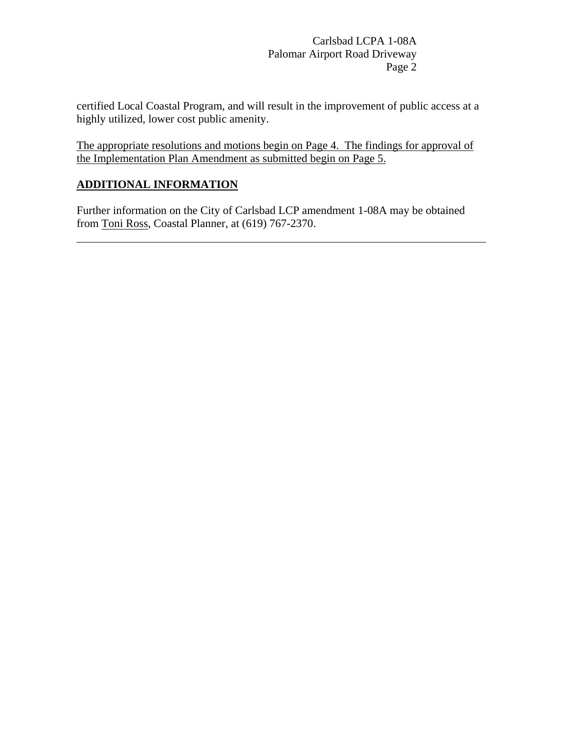certified Local Coastal Program, and will result in the improvement of public access at a highly utilized, lower cost public amenity.

The appropriate resolutions and motions begin on Page 4. The findings for approval of the Implementation Plan Amendment as submitted begin on Page 5.

## **ADDITIONAL INFORMATION**

 $\overline{a}$ 

Further information on the City of Carlsbad LCP amendment 1-08A may be obtained from Toni Ross, Coastal Planner, at (619) 767-2370.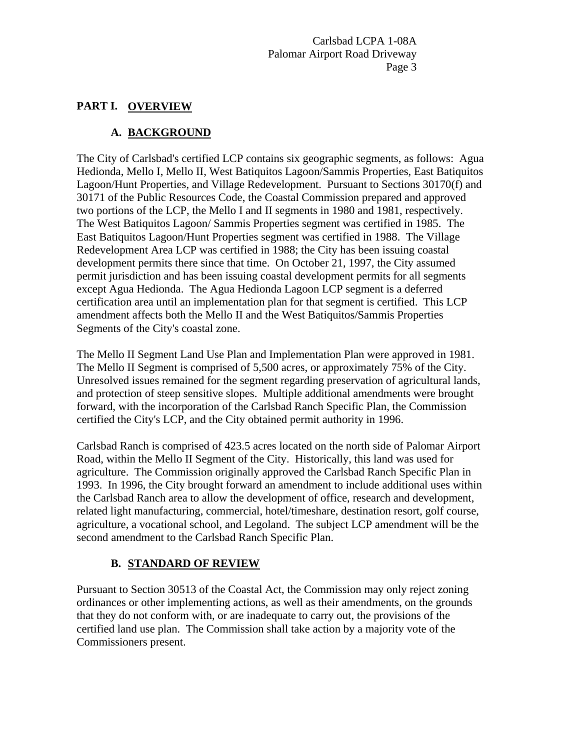## **PART I. OVERVIEW**

# **A. BACKGROUND**

The City of Carlsbad's certified LCP contains six geographic segments, as follows: Agua Hedionda, Mello I, Mello II, West Batiquitos Lagoon/Sammis Properties, East Batiquitos Lagoon/Hunt Properties, and Village Redevelopment. Pursuant to Sections 30170(f) and 30171 of the Public Resources Code, the Coastal Commission prepared and approved two portions of the LCP, the Mello I and II segments in 1980 and 1981, respectively. The West Batiquitos Lagoon/ Sammis Properties segment was certified in 1985. The East Batiquitos Lagoon/Hunt Properties segment was certified in 1988. The Village Redevelopment Area LCP was certified in 1988; the City has been issuing coastal development permits there since that time. On October 21, 1997, the City assumed permit jurisdiction and has been issuing coastal development permits for all segments except Agua Hedionda. The Agua Hedionda Lagoon LCP segment is a deferred certification area until an implementation plan for that segment is certified. This LCP amendment affects both the Mello II and the West Batiquitos/Sammis Properties Segments of the City's coastal zone.

The Mello II Segment Land Use Plan and Implementation Plan were approved in 1981. The Mello II Segment is comprised of 5,500 acres, or approximately 75% of the City. Unresolved issues remained for the segment regarding preservation of agricultural lands, and protection of steep sensitive slopes. Multiple additional amendments were brought forward, with the incorporation of the Carlsbad Ranch Specific Plan, the Commission certified the City's LCP, and the City obtained permit authority in 1996.

Carlsbad Ranch is comprised of 423.5 acres located on the north side of Palomar Airport Road, within the Mello II Segment of the City. Historically, this land was used for agriculture. The Commission originally approved the Carlsbad Ranch Specific Plan in 1993. In 1996, the City brought forward an amendment to include additional uses within the Carlsbad Ranch area to allow the development of office, research and development, related light manufacturing, commercial, hotel/timeshare, destination resort, golf course, agriculture, a vocational school, and Legoland. The subject LCP amendment will be the second amendment to the Carlsbad Ranch Specific Plan.

# **B. STANDARD OF REVIEW**

Pursuant to Section 30513 of the Coastal Act, the Commission may only reject zoning ordinances or other implementing actions, as well as their amendments, on the grounds that they do not conform with, or are inadequate to carry out, the provisions of the certified land use plan. The Commission shall take action by a majority vote of the Commissioners present.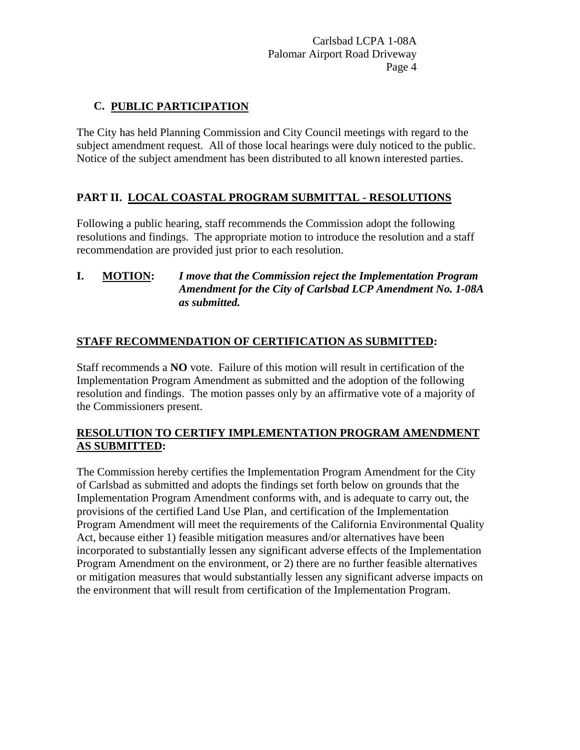## **C. PUBLIC PARTICIPATION**

The City has held Planning Commission and City Council meetings with regard to the subject amendment request. All of those local hearings were duly noticed to the public. Notice of the subject amendment has been distributed to all known interested parties.

## **PART II. LOCAL COASTAL PROGRAM SUBMITTAL - RESOLUTIONS**

Following a public hearing, staff recommends the Commission adopt the following resolutions and findings. The appropriate motion to introduce the resolution and a staff recommendation are provided just prior to each resolution.

### **I. MOTION:** *I move that the Commission reject the Implementation Program Amendment for the City of Carlsbad LCP Amendment No. 1-08A as submitted.*

## **STAFF RECOMMENDATION OF CERTIFICATION AS SUBMITTED:**

Staff recommends a **NO** vote. Failure of this motion will result in certification of the Implementation Program Amendment as submitted and the adoption of the following resolution and findings. The motion passes only by an affirmative vote of a majority of the Commissioners present.

### **RESOLUTION TO CERTIFY IMPLEMENTATION PROGRAM AMENDMENT AS SUBMITTED:**

The Commission hereby certifies the Implementation Program Amendment for the City of Carlsbad as submitted and adopts the findings set forth below on grounds that the Implementation Program Amendment conforms with, and is adequate to carry out, the provisions of the certified Land Use Plan, and certification of the Implementation Program Amendment will meet the requirements of the California Environmental Quality Act, because either 1) feasible mitigation measures and/or alternatives have been incorporated to substantially lessen any significant adverse effects of the Implementation Program Amendment on the environment, or 2) there are no further feasible alternatives or mitigation measures that would substantially lessen any significant adverse impacts on the environment that will result from certification of the Implementation Program.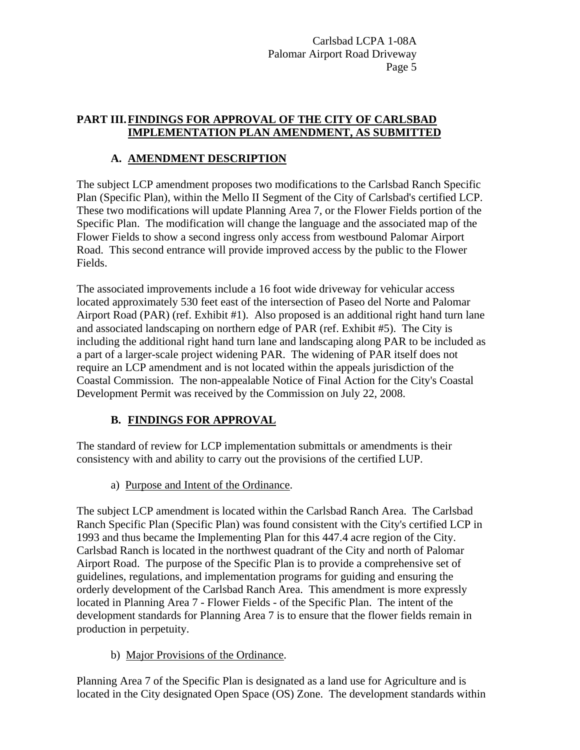## **PART III. FINDINGS FOR APPROVAL OF THE CITY OF CARLSBAD IMPLEMENTATION PLAN AMENDMENT, AS SUBMITTED**

## **A. AMENDMENT DESCRIPTION**

The subject LCP amendment proposes two modifications to the Carlsbad Ranch Specific Plan (Specific Plan), within the Mello II Segment of the City of Carlsbad's certified LCP. These two modifications will update Planning Area 7, or the Flower Fields portion of the Specific Plan. The modification will change the language and the associated map of the Flower Fields to show a second ingress only access from westbound Palomar Airport Road. This second entrance will provide improved access by the public to the Flower Fields.

The associated improvements include a 16 foot wide driveway for vehicular access located approximately 530 feet east of the intersection of Paseo del Norte and Palomar Airport Road (PAR) (ref. Exhibit #1). Also proposed is an additional right hand turn lane and associated landscaping on northern edge of PAR (ref. Exhibit #5). The City is including the additional right hand turn lane and landscaping along PAR to be included as a part of a larger-scale project widening PAR. The widening of PAR itself does not require an LCP amendment and is not located within the appeals jurisdiction of the Coastal Commission. The non-appealable Notice of Final Action for the City's Coastal Development Permit was received by the Commission on July 22, 2008.

# **B. FINDINGS FOR APPROVAL**

The standard of review for LCP implementation submittals or amendments is their consistency with and ability to carry out the provisions of the certified LUP.

a) Purpose and Intent of the Ordinance.

The subject LCP amendment is located within the Carlsbad Ranch Area. The Carlsbad Ranch Specific Plan (Specific Plan) was found consistent with the City's certified LCP in 1993 and thus became the Implementing Plan for this 447.4 acre region of the City. Carlsbad Ranch is located in the northwest quadrant of the City and north of Palomar Airport Road. The purpose of the Specific Plan is to provide a comprehensive set of guidelines, regulations, and implementation programs for guiding and ensuring the orderly development of the Carlsbad Ranch Area. This amendment is more expressly located in Planning Area 7 - Flower Fields - of the Specific Plan. The intent of the development standards for Planning Area 7 is to ensure that the flower fields remain in production in perpetuity.

b) Major Provisions of the Ordinance.

Planning Area 7 of the Specific Plan is designated as a land use for Agriculture and is located in the City designated Open Space (OS) Zone. The development standards within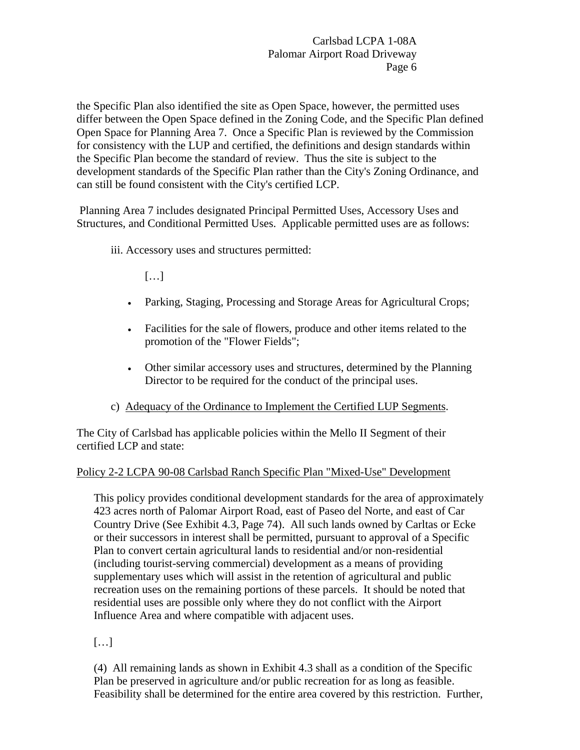the Specific Plan also identified the site as Open Space, however, the permitted uses differ between the Open Space defined in the Zoning Code, and the Specific Plan defined Open Space for Planning Area 7. Once a Specific Plan is reviewed by the Commission for consistency with the LUP and certified, the definitions and design standards within the Specific Plan become the standard of review. Thus the site is subject to the development standards of the Specific Plan rather than the City's Zoning Ordinance, and can still be found consistent with the City's certified LCP.

 Planning Area 7 includes designated Principal Permitted Uses, Accessory Uses and Structures, and Conditional Permitted Uses. Applicable permitted uses are as follows:

iii. Accessory uses and structures permitted:

[…]

- Parking, Staging, Processing and Storage Areas for Agricultural Crops;
- Facilities for the sale of flowers, produce and other items related to the promotion of the "Flower Fields";
- Other similar accessory uses and structures, determined by the Planning Director to be required for the conduct of the principal uses.
- c) Adequacy of the Ordinance to Implement the Certified LUP Segments.

The City of Carlsbad has applicable policies within the Mello II Segment of their certified LCP and state:

## Policy 2-2 LCPA 90-08 Carlsbad Ranch Specific Plan "Mixed-Use" Development

This policy provides conditional development standards for the area of approximately 423 acres north of Palomar Airport Road, east of Paseo del Norte, and east of Car Country Drive (See Exhibit 4.3, Page 74). All such lands owned by Carltas or Ecke or their successors in interest shall be permitted, pursuant to approval of a Specific Plan to convert certain agricultural lands to residential and/or non-residential (including tourist-serving commercial) development as a means of providing supplementary uses which will assist in the retention of agricultural and public recreation uses on the remaining portions of these parcels. It should be noted that residential uses are possible only where they do not conflict with the Airport Influence Area and where compatible with adjacent uses.

# […]

(4) All remaining lands as shown in Exhibit 4.3 shall as a condition of the Specific Plan be preserved in agriculture and/or public recreation for as long as feasible. Feasibility shall be determined for the entire area covered by this restriction. Further,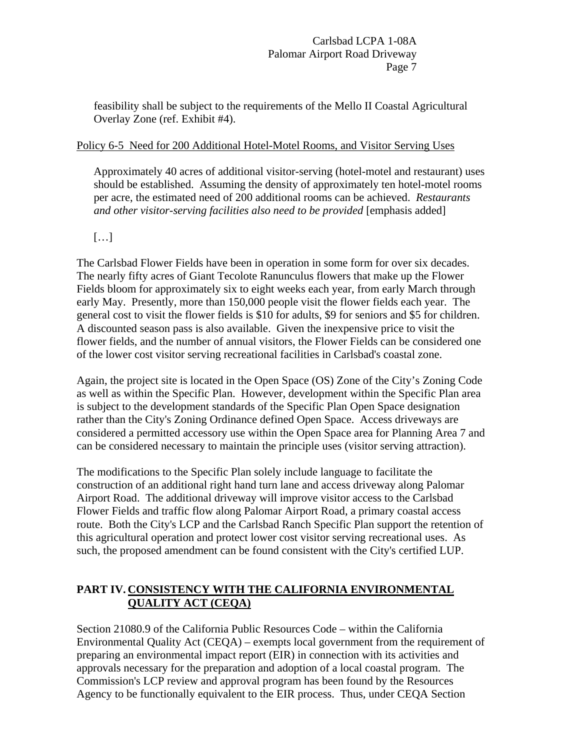feasibility shall be subject to the requirements of the Mello II Coastal Agricultural Overlay Zone (ref. Exhibit #4).

## Policy 6-5 Need for 200 Additional Hotel-Motel Rooms, and Visitor Serving Uses

Approximately 40 acres of additional visitor-serving (hotel-motel and restaurant) uses should be established. Assuming the density of approximately ten hotel-motel rooms per acre, the estimated need of 200 additional rooms can be achieved. *Restaurants and other visitor-serving facilities also need to be provided* [emphasis added]

# […]

The Carlsbad Flower Fields have been in operation in some form for over six decades. The nearly fifty acres of Giant Tecolote Ranunculus flowers that make up the Flower Fields bloom for approximately six to eight weeks each year, from early March through early May. Presently, more than 150,000 people visit the flower fields each year. The general cost to visit the flower fields is \$10 for adults, \$9 for seniors and \$5 for children. A discounted season pass is also available. Given the inexpensive price to visit the flower fields, and the number of annual visitors, the Flower Fields can be considered one of the lower cost visitor serving recreational facilities in Carlsbad's coastal zone.

Again, the project site is located in the Open Space (OS) Zone of the City's Zoning Code as well as within the Specific Plan. However, development within the Specific Plan area is subject to the development standards of the Specific Plan Open Space designation rather than the City's Zoning Ordinance defined Open Space. Access driveways are considered a permitted accessory use within the Open Space area for Planning Area 7 and can be considered necessary to maintain the principle uses (visitor serving attraction).

The modifications to the Specific Plan solely include language to facilitate the construction of an additional right hand turn lane and access driveway along Palomar Airport Road. The additional driveway will improve visitor access to the Carlsbad Flower Fields and traffic flow along Palomar Airport Road, a primary coastal access route. Both the City's LCP and the Carlsbad Ranch Specific Plan support the retention of this agricultural operation and protect lower cost visitor serving recreational uses. As such, the proposed amendment can be found consistent with the City's certified LUP.

## **PART IV. CONSISTENCY WITH THE CALIFORNIA ENVIRONMENTAL QUALITY ACT (CEQA)**

Section 21080.9 of the California Public Resources Code – within the California Environmental Quality Act (CEQA) – exempts local government from the requirement of preparing an environmental impact report (EIR) in connection with its activities and approvals necessary for the preparation and adoption of a local coastal program. The Commission's LCP review and approval program has been found by the Resources Agency to be functionally equivalent to the EIR process. Thus, under CEQA Section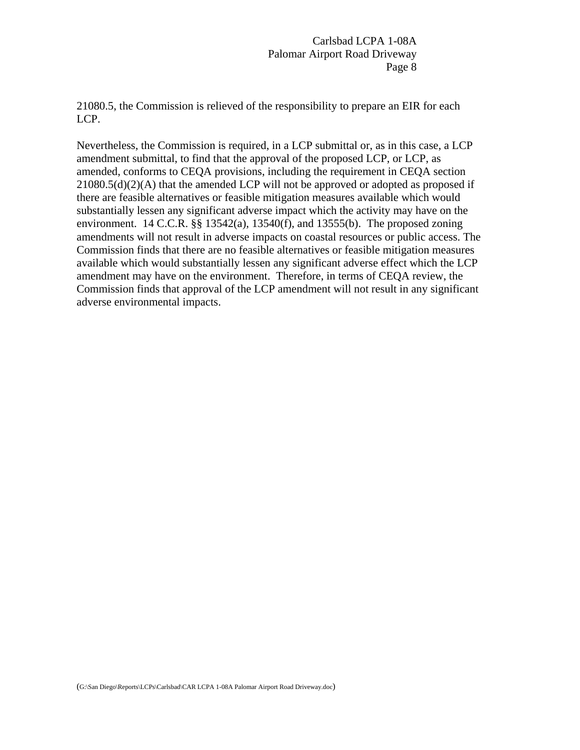21080.5, the Commission is relieved of the responsibility to prepare an EIR for each LCP.

Nevertheless, the Commission is required, in a LCP submittal or, as in this case, a LCP amendment submittal, to find that the approval of the proposed LCP, or LCP, as amended, conforms to CEQA provisions, including the requirement in CEQA section 21080.5(d)(2)(A) that the amended LCP will not be approved or adopted as proposed if there are feasible alternatives or feasible mitigation measures available which would substantially lessen any significant adverse impact which the activity may have on the environment. 14 C.C.R.  $\S$ § 13542(a), 13540(f), and 13555(b). The proposed zoning amendments will not result in adverse impacts on coastal resources or public access. The Commission finds that there are no feasible alternatives or feasible mitigation measures available which would substantially lessen any significant adverse effect which the LCP amendment may have on the environment. Therefore, in terms of CEQA review, the Commission finds that approval of the LCP amendment will not result in any significant adverse environmental impacts.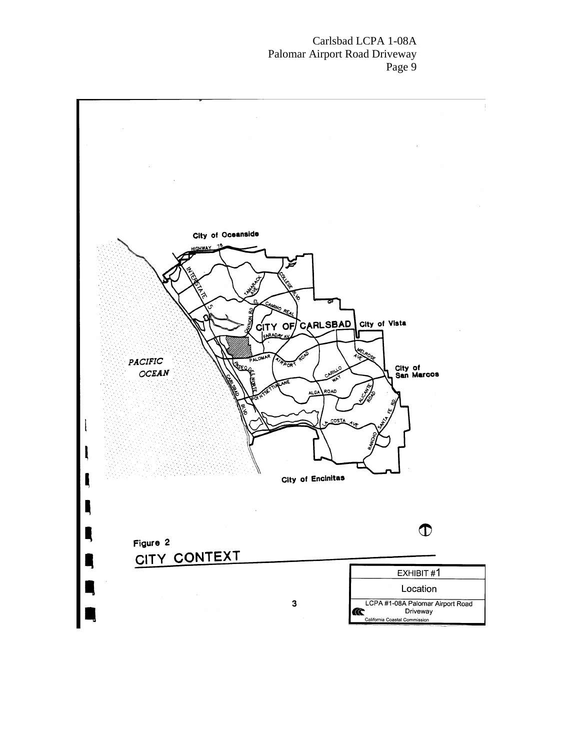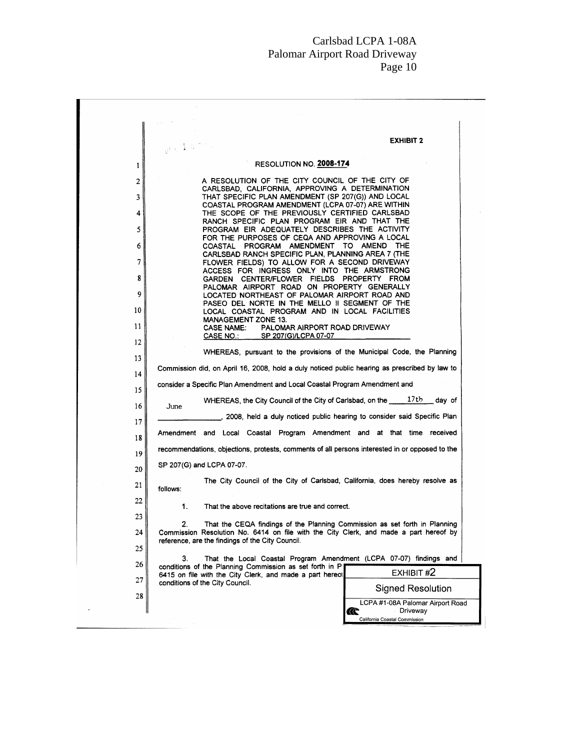|    | <b>EXHIBIT 2</b><br>$5.1 \pm r_h$                                                                                                         |
|----|-------------------------------------------------------------------------------------------------------------------------------------------|
| 1  | RESOLUTION NO. 2008-174                                                                                                                   |
| 2  | A RESOLUTION OF THE CITY COUNCIL OF THE CITY OF                                                                                           |
| 3  | CARLSBAD, CALIFORNIA, APPROVING A DETERMINATION<br>THAT SPECIFIC PLAN AMENDMENT (SP 207(G)) AND LOCAL                                     |
| 4  | COASTAL PROGRAM AMENDMENT (LCPA 07-07) ARE WITHIN<br>THE SCOPE OF THE PREVIOUSLY CERTIFIED CARLSBAD                                       |
| 5  | RANCH SPECIFIC PLAN PROGRAM EIR AND THAT THE<br>PROGRAM EIR ADEQUATELY DESCRIBES THE ACTIVITY                                             |
| 6  | FOR THE PURPOSES OF CEQA AND APPROVING A LOCAL<br>COASTAL PROGRAM AMENDMENT TO AMEND THE                                                  |
| 7  | CARLSBAD RANCH SPECIFIC PLAN, PLANNING AREA 7 (THE<br>FLOWER FIELDS) TO ALLOW FOR A SECOND DRIVEWAY                                       |
| 8  | ACCESS FOR INGRESS ONLY INTO THE ARMSTRONG                                                                                                |
| 9  | GARDEN CENTER/FLOWER FIELDS PROPERTY FROM<br>PALOMAR AIRPORT ROAD ON PROPERTY GENERALLY                                                   |
|    | LOCATED NORTHEAST OF PALOMAR AIRPORT ROAD AND<br>PASEO DEL NORTE IN THE MELLO II SEGMENT OF THE                                           |
| 10 | LOCAL COASTAL PROGRAM AND IN LOCAL FACILITIES<br><b>MANAGEMENT ZONE 13.</b>                                                               |
| 11 | <b>CASE NAME:</b><br>PALOMAR AIRPORT ROAD DRIVEWAY<br><b>CASE NO.:</b><br>SP 207(G)/LCPA 07-07                                            |
| 12 | WHEREAS, pursuant to the provisions of the Municipal Code, the Planning                                                                   |
| 13 | Commission did, on April 16, 2008, hold a duly noticed public hearing as prescribed by law to                                             |
| 14 | consider a Specific Plan Amendment and Local Coastal Program Amendment and                                                                |
| 15 | WHEREAS, the City Council of the City of Carlsbad, on the _____17th<br>day of                                                             |
| 16 | June<br>2008, held a duly noticed public hearing to consider said Specific Plan                                                           |
| 17 |                                                                                                                                           |
| 18 | Amendment and Local Coastal Program Amendment and at that time received                                                                   |
| 19 | recommendations, objections, protests, comments of all persons interested in or opposed to the                                            |
| 20 | SP 207(G) and LCPA 07-07.                                                                                                                 |
| 21 | The City Council of the City of Carlsbad, California, does hereby resolve as<br>follows:                                                  |
| 22 | 1.<br>That the above recitations are true and correct.                                                                                    |
| 23 | 2.<br>That the CEQA findings of the Planning Commission as set forth in Planning                                                          |
| 24 | Commission Resolution No. 6414 on file with the City Clerk, and made a part hereof by<br>reference, are the findings of the City Council. |
| 25 |                                                                                                                                           |
| 26 | 3.<br>That the Local Coastal Program Amendment (LCPA 07-07) findings and<br>conditions of the Planning Commission as set forth in P       |
| 27 | EXHIBIT #2<br>6415 on file with the City Clerk, and made a part hereof<br>conditions of the City Council.                                 |
| 28 | <b>Signed Resolution</b>                                                                                                                  |
|    | LCPA #1-08A Palomar Airport Road<br>Driveway<br>Œ                                                                                         |
|    | California Coastal Commission                                                                                                             |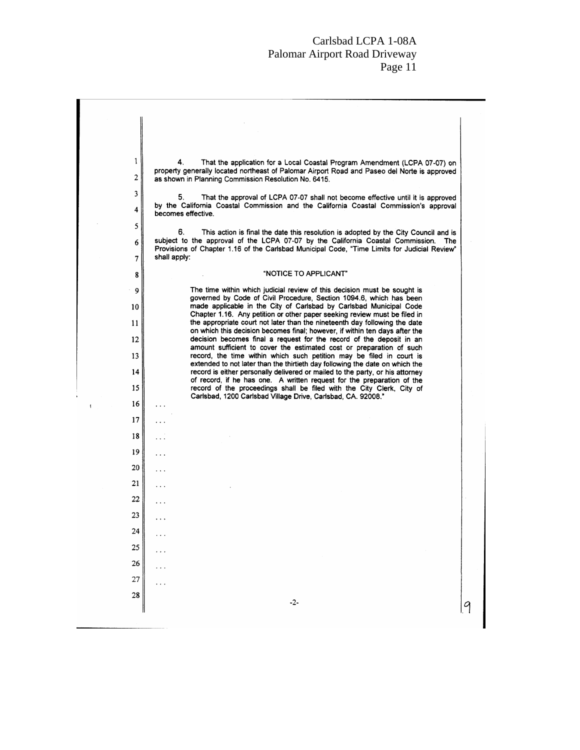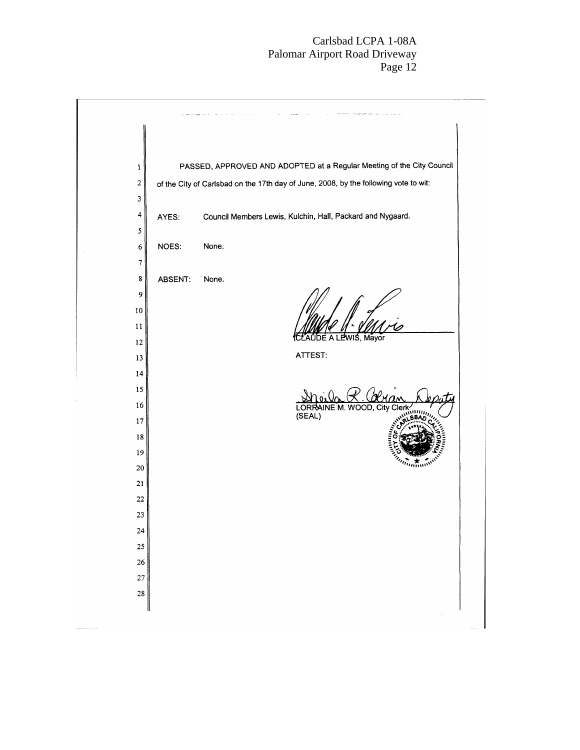| $\mathbf{1}$ |         | PASSED, APPROVED AND ADOPTED at a Regular Meeting of the City Council                |
|--------------|---------|--------------------------------------------------------------------------------------|
| $\sqrt{2}$   |         | of the City of Carlsbad on the 17th day of June, 2008, by the following vote to wit: |
| 3            |         |                                                                                      |
| 4            | AYES:   | Council Members Lewis, Kulchin, Hall, Packard and Nygaard.                           |
| 5            |         |                                                                                      |
| 6            | NOES:   | None.                                                                                |
| 7            |         |                                                                                      |
| $\bf 8$      | ABSENT: | None.                                                                                |
| 9            |         |                                                                                      |
| $10\,$       |         |                                                                                      |
| 11           |         | WIŚ, Mayor                                                                           |
| 12           |         | ATTEST:                                                                              |
| 13           |         |                                                                                      |
| 14           |         |                                                                                      |
| 15<br>16     |         |                                                                                      |
| $17\,$       |         | LORR<br>JE M. WOOD. Citv<br>Clerk<br>(SEAL)                                          |
| 18           |         |                                                                                      |
| 19           |         |                                                                                      |
| 20           |         |                                                                                      |
| 21           |         |                                                                                      |
| $22\,$       |         |                                                                                      |
| 23           |         |                                                                                      |
| 24           |         |                                                                                      |
| 25           |         |                                                                                      |
| ${\bf 26}$   |         |                                                                                      |
| 27           |         |                                                                                      |
| 28           |         |                                                                                      |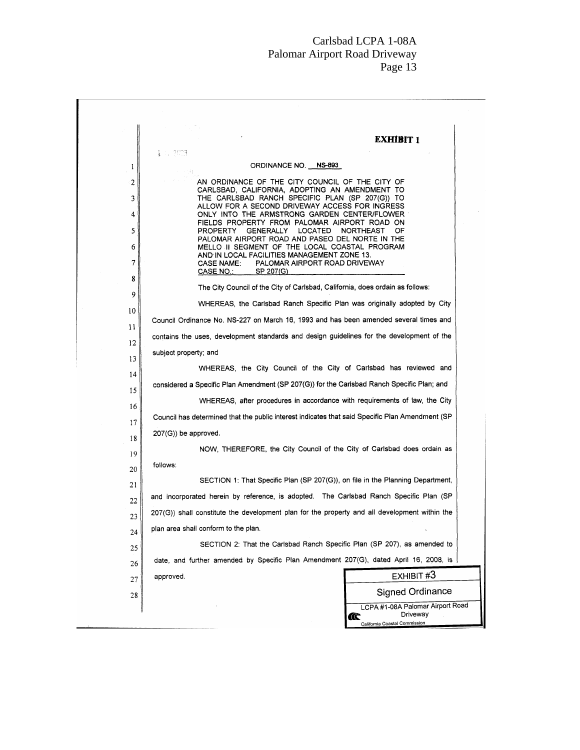|    | <b>EXHIBIT 1</b>                                                                                       |  |
|----|--------------------------------------------------------------------------------------------------------|--|
| 1  | i u 2003<br>ORDINANCE NO. NS-893                                                                       |  |
| 2  | AN ORDINANCE OF THE CITY COUNCIL OF THE CITY OF                                                        |  |
|    | CARLSBAD, CALIFORNIA, ADOPTING AN AMENDMENT TO                                                         |  |
| 3  | THE CARLSBAD RANCH SPECIFIC PLAN (SP 207(G)) TO<br>ALLOW FOR A SECOND DRIVEWAY ACCESS FOR INGRESS      |  |
| 4  | ONLY INTO THE ARMSTRONG GARDEN CENTER/FLOWER<br>FIELDS PROPERTY FROM PALOMAR AIRPORT ROAD ON           |  |
| 5  | LOCATED<br>PROPERTY<br>GENERALLY<br>NORTHEAST<br>0F<br>PALOMAR AIRPORT ROAD AND PASEO DEL NORTE IN THE |  |
| 6  | MELLO II SEGMENT OF THE LOCAL COASTAL PROGRAM<br>AND IN LOCAL FACILITIES MANAGEMENT ZONE 13.           |  |
| 7  | PALOMAR AIRPORT ROAD DRIVEWAY<br><b>CASE NAME:</b><br>CASE NO.: ___<br>SP 207(G)                       |  |
| 8  | The City Council of the City of Carlsbad, California, does ordain as follows:                          |  |
| 9  | WHEREAS, the Carlsbad Ranch Specific Plan was originally adopted by City                               |  |
| 10 |                                                                                                        |  |
| 11 | Council Ordinance No. NS-227 on March 16, 1993 and has been amended several times and                  |  |
| 12 | contains the uses, development standards and design guidelines for the development of the              |  |
| 13 | subject property; and                                                                                  |  |
| 14 | WHEREAS, the City Council of the City of Carlsbad has reviewed and                                     |  |
| 15 | considered a Specific Plan Amendment (SP 207(G)) for the Carlsbad Ranch Specific Plan; and             |  |
| 16 | WHEREAS, after procedures in accordance with requirements of law, the City                             |  |
| 17 | Council has determined that the public interest indicates that said Specific Plan Amendment (SP        |  |
| 18 | $207(G)$ be approved.                                                                                  |  |
| 19 | NOW, THEREFORE, the City Council of the City of Carlsbad does ordain as                                |  |
| 20 | follows:                                                                                               |  |
| 21 | SECTION 1: That Specific Plan (SP 207(G)), on file in the Planning Department,                         |  |
| 22 | and incorporated herein by reference, is adopted. The Carlsbad Ranch Specific Plan (SP                 |  |
| 23 | $207(G)$ ) shall constitute the development plan for the property and all development within the       |  |
| 24 | plan area shall conform to the plan.                                                                   |  |
| 25 | SECTION 2: That the Carlsbad Ranch Specific Plan (SP 207), as amended to                               |  |
| 26 | date, and further amended by Specific Plan Amendment 207(G), dated April 16, 2008, is                  |  |
| 27 | EXHIBIT #3<br>approved.                                                                                |  |
| 28 | <b>Signed Ordinance</b>                                                                                |  |
|    | LCPA #1-08A Palomar Airport Road<br>Driveway<br>Œ<br>California Coastal Commission                     |  |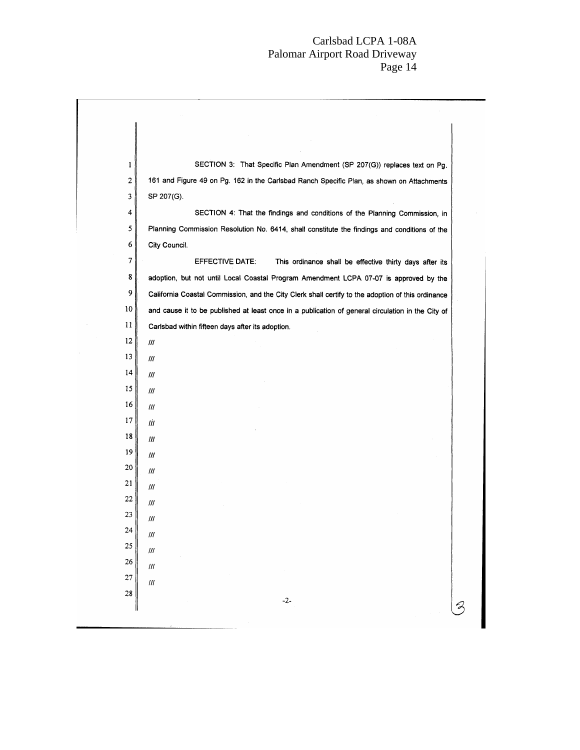| $\mathbf{1}$          | SECTION 3: That Specific Plan Amendment (SP 207(G)) replaces text on Pg.                          |
|-----------------------|---------------------------------------------------------------------------------------------------|
| 2                     | 161 and Figure 49 on Pg. 162 in the Carlsbad Ranch Specific Plan, as shown on Attachments         |
| 3                     | SP 207(G).                                                                                        |
| 4                     | SECTION 4: That the findings and conditions of the Planning Commission, in                        |
| 5                     | Planning Commission Resolution No. 6414, shall constitute the findings and conditions of the      |
| 6                     | City Council.                                                                                     |
| 7                     | EFFECTIVE DATE:<br>This ordinance shall be effective thirty days after its                        |
| 8                     | adoption, but not until Local Coastal Program Amendment LCPA 07-07 is approved by the             |
| 9                     | California Coastal Commission, and the City Clerk shall certify to the adoption of this ordinance |
| 10 <sub>10</sub>      | and cause it to be published at least once in a publication of general circulation in the City of |
| 11                    | Carlsbad within fifteen days after its adoption.                                                  |
| 12                    | Ш                                                                                                 |
| 13                    | 111                                                                                               |
| 14                    | 111                                                                                               |
| 15                    | 111                                                                                               |
| 16                    | III                                                                                               |
| 17                    | III                                                                                               |
| 18                    | Ш                                                                                                 |
| 19                    | III                                                                                               |
| 20                    | 111                                                                                               |
| 21                    | ///                                                                                               |
| 22                    | 111                                                                                               |
| 23                    | 111                                                                                               |
| 24                    | $\sqrt{11}$                                                                                       |
| 25                    | $\ensuremath{I\!I\!I}$                                                                            |
| 26<br>$\overline{27}$ | $\ensuremath{I\!I\!I}$                                                                            |
| 28                    | $l\bar{l}l$                                                                                       |
|                       | $-2-$                                                                                             |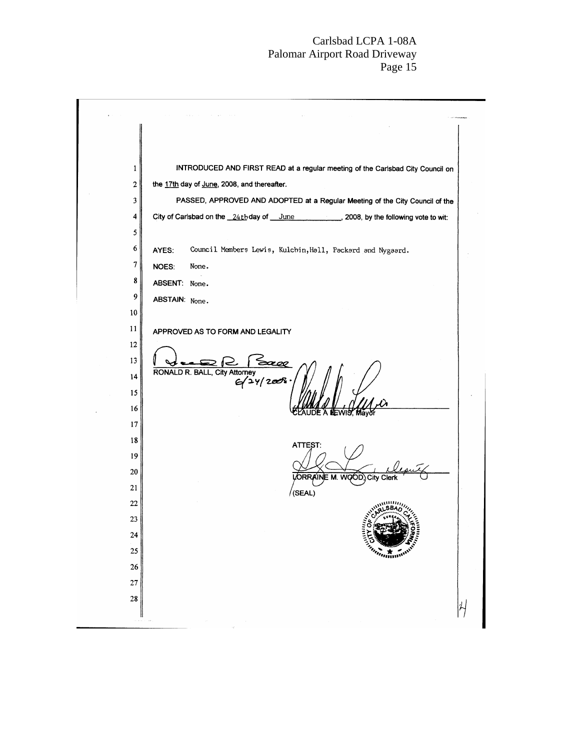| INTRODUCED AND FIRST READ at a regular meeting of the Carlsbad City Council on<br>1 |
|-------------------------------------------------------------------------------------|
| 2<br>the 17th day of June, 2008, and thereafter.                                    |
| 3<br>PASSED, APPROVED AND ADOPTED at a Regular Meeting of the City Council of the   |
| City of Carlsbad on the 24th day of June 2008, by the following vote to wit:<br>4   |
| 5                                                                                   |
| 6<br>Council Members Lewis, Kulchin, Hall, Packard and Nygaard.<br>AYES:            |
| 7<br>NOES:<br>None.                                                                 |
| 8<br>ABSENT: None.                                                                  |
| 9<br>ABSTAIN: None.                                                                 |
| 10                                                                                  |
| 11<br>APPROVED AS TO FORM AND LEGALITY                                              |
| 12                                                                                  |
| 13<br><b>RONAL</b>                                                                  |
| DR. BALL, City Attorney<br>$G/2Y/2008$<br>14                                        |
| 15                                                                                  |
| 16                                                                                  |
| 17                                                                                  |
| 18<br>ATTEST:                                                                       |
| 19                                                                                  |
| 20<br>LORRAII<br>WOOD.<br><b>City Clerk</b>                                         |
| 21<br>(SEAL)                                                                        |
| 22                                                                                  |
| 23                                                                                  |
| 24                                                                                  |
| 25<br>$\eta_{\mu}$ and                                                              |
| 26                                                                                  |
| 27                                                                                  |
| 28                                                                                  |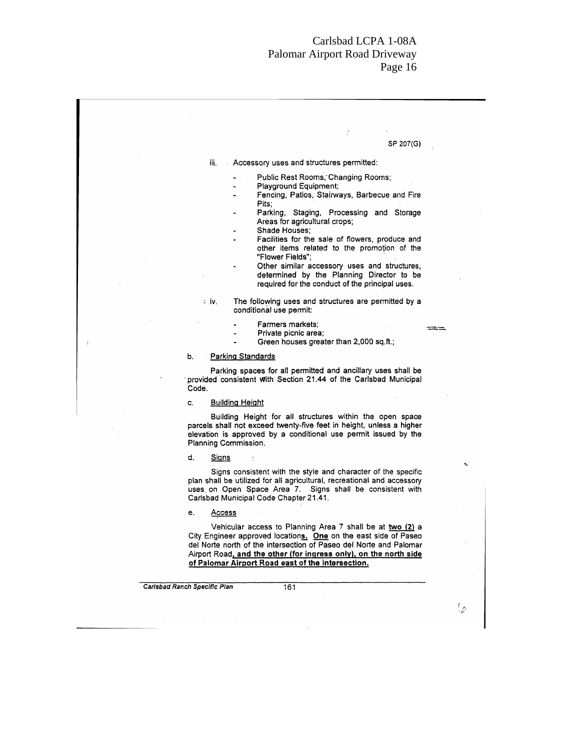|                                                                                                                                                                                                                                                                         | SP 207(G) |
|-------------------------------------------------------------------------------------------------------------------------------------------------------------------------------------------------------------------------------------------------------------------------|-----------|
| iii.<br>Accessory uses and structures permitted:                                                                                                                                                                                                                        |           |
| Public Rest Rooms, Changing Rooms;                                                                                                                                                                                                                                      |           |
| Playground Equipment;                                                                                                                                                                                                                                                   |           |
| Fencing, Patios, Stairways, Barbecue and Fire<br>Pits:                                                                                                                                                                                                                  |           |
| Parking, Staging, Processing and Storage<br>Areas for agricultural crops;                                                                                                                                                                                               |           |
| Shade Houses:                                                                                                                                                                                                                                                           |           |
| Facilities for the sale of flowers, produce and<br>other items related to the promotion of the<br>"Flower Fields":                                                                                                                                                      |           |
| Other similar accessory uses and structures,                                                                                                                                                                                                                            |           |
| determined by the Planning Director to be<br>required for the conduct of the principal uses.                                                                                                                                                                            |           |
| The following uses and structures are permitted by a<br>∶iv.<br>conditional use permit:                                                                                                                                                                                 |           |
| Farmers markets:                                                                                                                                                                                                                                                        |           |
| Private picnic area;<br>Green houses greater than 2,000 sq.ft.;                                                                                                                                                                                                         |           |
| b.<br><b>Parking Standards</b>                                                                                                                                                                                                                                          |           |
| Parking spaces for all permitted and ancillary uses shall be<br>provided consistent with Section 21.44 of the Carlsbad Municipal<br>Code.                                                                                                                               |           |
| <b>Building Height</b><br>c.                                                                                                                                                                                                                                            |           |
| Building Height for all structures within the open space<br>parcels shall not exceed twenty-five feet in height, unless a higher<br>elevation is approved by a conditional use permit issued by the<br>Planning Commission.                                             |           |
| d.<br><b>Signs</b>                                                                                                                                                                                                                                                      |           |
| Signs consistent with the style and character of the specific<br>plan shall be utilized for all agricultural, recreational and accessory<br>uses on Open Space Area 7. Signs shall be consistent with<br>Carlsbad Municipal Code Chapter 21.41.                         |           |
| e.<br><u>Access</u>                                                                                                                                                                                                                                                     |           |
| Vehicular access to Planning Area 7 shall be at two (2) a<br>City Engineer approved locations. One on the east side of Paseo<br>del Norte north of the intersection of Paseo del Norte and Palomar<br>Airport Road, and the other (for ingress only), on the north side |           |

 $\langle \varphi$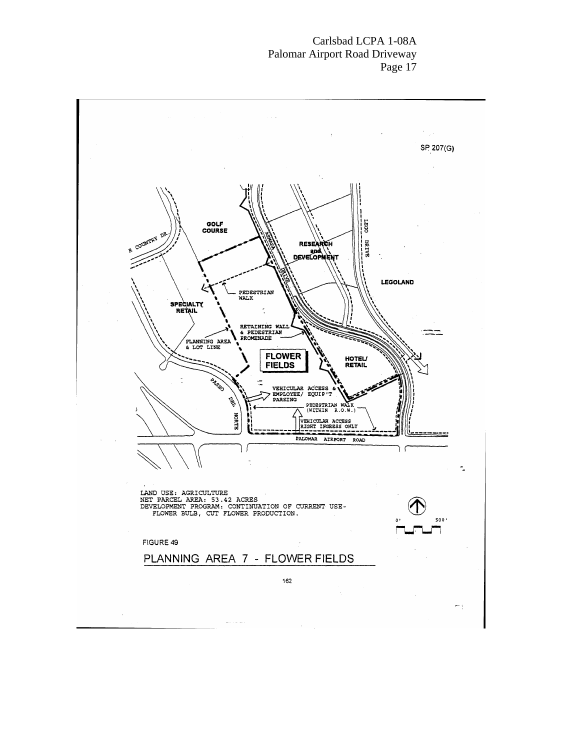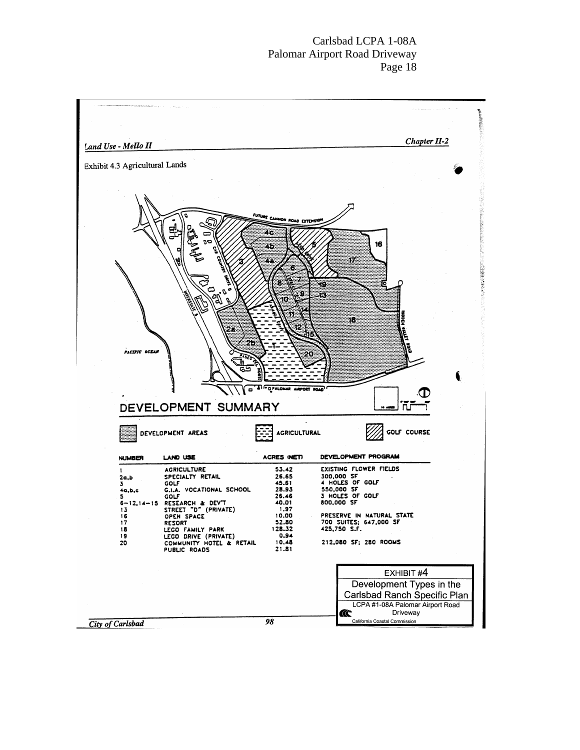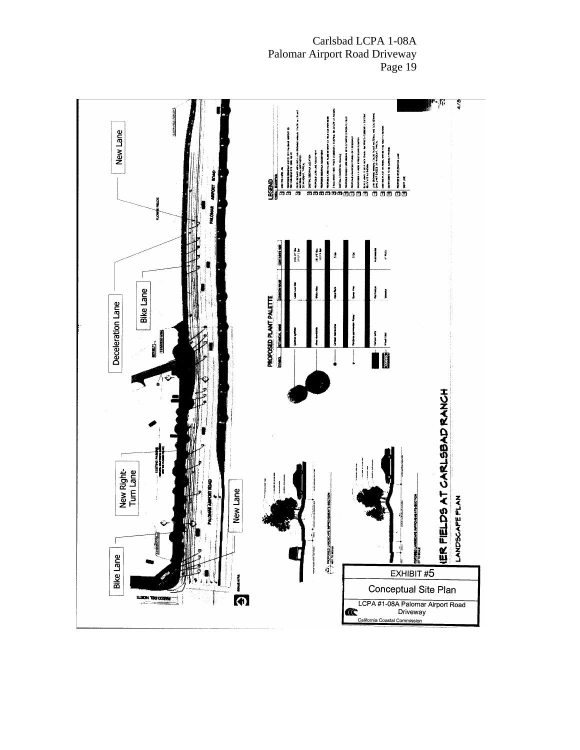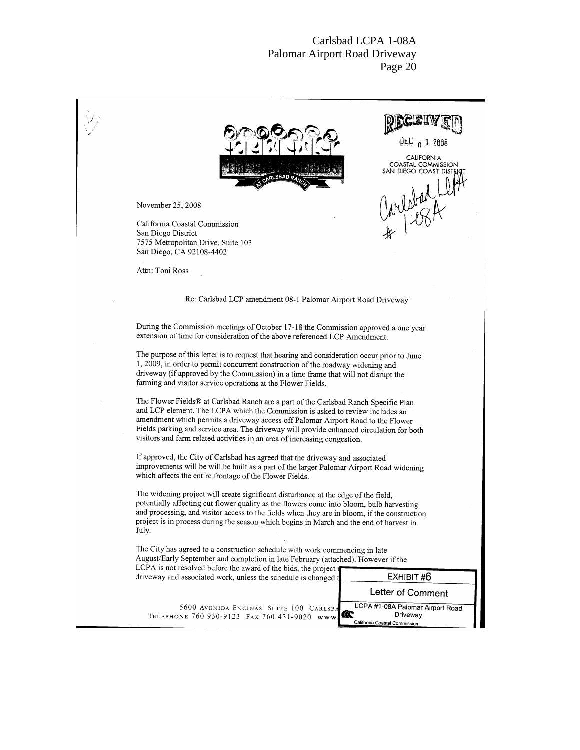| UEC $0.12008$<br><b>CALIFORNIA</b><br>COASTAL COMMISSION<br>SAN DIEGO COAST DISTRI<br>RLSBAD RAN                                                                                                                                                                                                                                                                                                                                  |
|-----------------------------------------------------------------------------------------------------------------------------------------------------------------------------------------------------------------------------------------------------------------------------------------------------------------------------------------------------------------------------------------------------------------------------------|
| Carletad Ll<br>November 25, 2008<br>California Coastal Commission<br>San Diego District<br>7575 Metropolitan Drive, Suite 103<br>San Diego, CA 92108-4402                                                                                                                                                                                                                                                                         |
| Attn: Toni Ross<br>Re: Carlsbad LCP amendment 08-1 Palomar Airport Road Driveway                                                                                                                                                                                                                                                                                                                                                  |
| During the Commission meetings of October 17-18 the Commission approved a one year<br>extension of time for consideration of the above referenced LCP Amendment.                                                                                                                                                                                                                                                                  |
| The purpose of this letter is to request that hearing and consideration occur prior to June<br>1, 2009, in order to permit concurrent construction of the roadway widening and<br>driveway (if approved by the Commission) in a time frame that will not disrupt the<br>farming and visitor service operations at the Flower Fields.                                                                                              |
| The Flower Fields® at Carlsbad Ranch are a part of the Carlsbad Ranch Specific Plan<br>and LCP element. The LCPA which the Commission is asked to review includes an<br>amendment which permits a driveway access off Palomar Airport Road to the Flower<br>Fields parking and service area. The driveway will provide enhanced circulation for both<br>visitors and farm related activities in an area of increasing congestion. |
| If approved, the City of Carlsbad has agreed that the driveway and associated<br>improvements will be will be built as a part of the larger Palomar Airport Road widening<br>which affects the entire frontage of the Flower Fields.                                                                                                                                                                                              |
| The widening project will create significant disturbance at the edge of the field,<br>potentially affecting cut flower quality as the flowers come into bloom, bulb harvesting<br>and processing, and visitor access to the fields when they are in bloom, if the construction<br>project is in process during the season which begins in March and the end of harvest in<br>July.                                                |
| The City has agreed to a construction schedule with work commencing in late<br>August/Early September and completion in late February (attached). However if the<br>LCPA is not resolved before the award of the bids, the project 1                                                                                                                                                                                              |
| EXHIBIT #6<br>driveway and associated work, unless the schedule is changed t<br>Letter of Comment                                                                                                                                                                                                                                                                                                                                 |
| LCPA #1-08A Palomar Airport Road<br>5600 AVENIDA ENCINAS SUITE 100 CARLSBA<br>Œ<br>Driveway<br>TELEPHONE 760 930-9123 FAX 760 431-9020 www<br>California Coastal Commission                                                                                                                                                                                                                                                       |